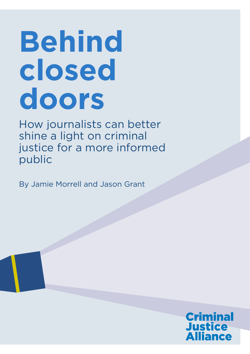# **Behind closed doors**

How journalists can better shine a light on criminal justice for a more informed public

By Jamie Morrell and Jason Grant

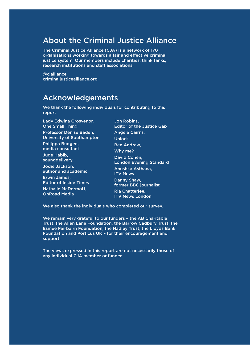### About the Criminal Justice Alliance

The Criminal Justice Alliance (CJA) is a network of 170 organisations working towards a fair and effective criminal justice system. Our members include charities, think tanks, research institutions and staff associations.

@cjalliance criminaljusticealliance.org

### Acknowledgements

We thank the following individuals for contributing to this report

Lady Edwina Grosvenor, One Small Thing Professor Denise Baden, University of Southampton Philippa Budgen, media consultant Jude Habib, sounddelivery Jodie Jackson, author and academic Erwin James, Editor of Inside Times Nathalie McDermott, OnRoad Media

Jon Robins, Editor of the Justice Gap Angela Cairns, Unlock Ben Andrew, Why me? David Cohen, London Evening Standard Anushka Asthana, ITV News Danny Shaw, former BBC journalist Ria Chatterjee, ITV News London

We also thank the individuals who completed our survey.

We remain very grateful to our funders – the AB Charitable Trust, the Allen Lane Foundation, the Barrow Cadbury Trust, the Esmée Fairbairn Foundation, the Hadley Trust, the Lloyds Bank Foundation and Porticus UK – for their encouragement and support.

The views expressed in this report are not necessarily those of any individual CJA member or funder.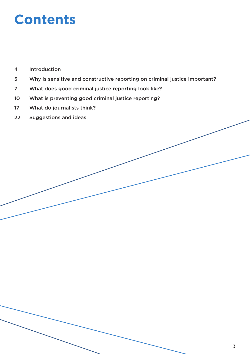### **Contents**

- Introduction
- Why is sensitive and constructive reporting on criminal justice important?
- What does good criminal justice reporting look like?
- What is preventing good criminal justice reporting?
- What do journalists think?
- Suggestions and ideas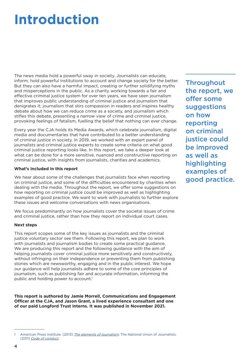### **Introduction**

The news media hold a powerful sway in society. Journalists can educate, inform, hold powerful institutions to account and change society for the better. But they can also have a harmful impact, creating or further solidifying myths and misperceptions in the public. As a charity working towards a fair and effective criminal justice system for over ten years, we have seen journalism that improves public understanding of criminal justice and journalism that denigrates it; journalism that stirs compassion in readers and inspires healthy debate about how we can reduce crime as a society, and journalism which stifles this debate, presenting a narrow view of crime and criminal justice, provoking feelings of fatalism, fuelling the belief that nothing can ever change.

Every year the CJA holds its Media Awards, which celebrate journalism, digital media and documentaries that have contributed to a better understanding of criminal justice in society. In 2019, we worked with an expert panel of journalists and criminal justice experts to create some criteria on what good criminal justice reporting looks like. In this report, we take a deeper look at what can be done for a more sensitive, nuanced and constructive reporting on criminal justice, with insights from journalists, charities and academics.

#### **What's included in this report**

We hear about some of the challenges that journalists face when reporting on criminal justice, and some of the difficulties encountered by charities when dealing with the media. Throughout the report, we offer some suggestions on how reporting on criminal justice could be improved as well as highlighting examples of good practice. We want to work with journalists to further explore these issues and welcome conversations with news organisations.

We focus predominantly on how journalists cover the societal issues of crime and criminal justice, rather than how they report on individual court cases.

#### **Next steps**

This report scopes some of the key issues as journalists and the criminal justice voluntary sector see them. Following this report, we plan to work with journalists and journalism bodies to create some practical guidance. We are producing this report and the following guidance with the aim of helping journalists cover criminal justice more sensitively and constructively, without infringing on their independence or preventing them from publishing stories which are newsworthy, engaging and in the public interest. We hope our guidance will help journalists adhere to some of the core principles of journalism, such as publishing fair and accurate information, informing the public and holding power to account.<sup>1</sup>

**This report is authored by Jamie Morrell, Communications and Engagement Officer at the CJA, and Jason Grant, a lived experience consultant and one of our paid Longford Trust interns. It was published in November 2021.** 

**Throughout** the report, we offer some suggestions on how reporting on criminal justice could be improved as well as highlighting examples of good practice.

American Press Institute. (2013) *[The elements of journalism](https://www.americanpressinstitute.org/journalism-essentials/what-is-journalism/elements-journalism/)*; The National Union of Journalists. (2011) *[Code of conduct](https://www.nuj.org.uk/about-us/rules-and-guidance/code-of-conduct.html)*.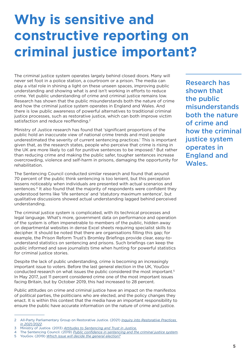## **Why is sensitive and constructive reporting on criminal justice important?**

The criminal justice system operates largely behind closed doors. Many will never set foot in a police station, a courtroom or a prison. The media can play a vital role in shining a light on these unseen spaces, improving public understanding and showing what is and isn't working in efforts to reduce crime. Yet public understanding of crime and criminal justice remains low. Research has shown that the public misunderstands both the nature of crime and how the criminal justice system operates in England and Wales. And there is low public awareness of powerful alternatives to traditional criminal justice processes, such as restorative justice, which can both improve victim satisfaction and reduce reoffending.<sup>2</sup>

Ministry of Justice research has found that 'significant proportions of the public hold an inaccurate view of national crime trends and most people underestimated the severity of current sentencing practices.' This is important given that, as the research states, people who perceive that crime is rising in the UK are more likely to call for punitive sentences to be imposed.<sup>3</sup> But rather than reducing crime and making the public safer, tougher sentences increase overcrowding, violence and self-harm in prisons, damaging the opportunity for rehabilitation.

The Sentencing Council conducted similar research and found that around 70 percent of the public think sentencing is too lenient, but this perception lessens noticeably when individuals are presented with actual scenarios and sentences.<sup>4</sup> It also found that the majority of respondents were confident they understood terms like 'life sentence' and 'statutory maximum sentence', but qualitative discussions showed actual understanding lagged behind perceived understanding.

The criminal justice system is complicated, with its technical processes and legal language. What's more, government data on performance and operation of the system is often impenetrable to members of the public, hidden away on departmental websites in dense Excel sheets requiring specialist skills to decipher. It should be noted that there are organisations filling this gap; for example, the Prison Reform Trust's Bromley Briefings provide clear, easy-tounderstand statistics on sentencing and prisons. Such briefings can keep the public informed and save journalists time when hunting for powerful statistics for criminal justice stories.

Despite the lack of public understanding, crime is becoming an increasingly important issue to voters. Before the last general election in the UK, YouGov conducted research on what issues the public considered the most important.5 In May 2017, just 11 percent considered crime one of the most important issues facing Britain, but by October 2019, this had increased to 28 percent.

Public attitudes on crime and criminal justice have an impact on the manifestos of political parties, the politicians who are elected, and the policy changes they enact. It is within this context that the media have an important responsibility to ensure the public have accurate information on the nature of crime and justice.

Research has shown that the public misunderstands both the nature of crime and how the criminal justice system operates in England and Wales.

<sup>2</sup> All-Party Parliamentary Group on Restorative Justice. (2021) *[Inquiry into Restorative Practices](https://rjappg.co.uk/inquiryreport/ )  [in 2021/2022](https://rjappg.co.uk/inquiryreport/ )*.

<sup>3</sup> Ministry of Justice. (2013) *[Attitudes to Sentencing and Trust in Justice.](https://www.gov.uk/government/publications/the-publics-understanding-and-views-of-sentencing-and-the-criminal-justice-system)*

<sup>4</sup> The Sentencing Council. (2019) *[Public confidence in sentencing and the criminal justice system](https://www.sentencingcouncil.org.uk/publications/item/public-confidence-in-sentencing-and-the-criminal-justice-system/)*.

<sup>5</sup> YouGov. (2019) *[Which issue will decide the general election?](https://yougov.co.uk/topics/politics/articles-reports/2019/11/07/which-issues-will-decide-general-electio)*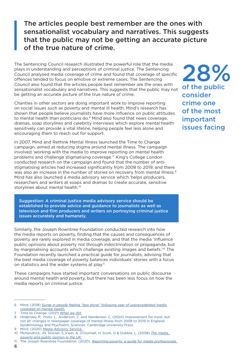### The articles people best remember are the ones with sensationalist vocabulary and narratives. This suggests that the public may not be getting an accurate picture of the true nature of crime.

The Sentencing Council research illustrated the powerful role that the media plays in understanding and perceptions of criminal justice. The Sentencing Council analysed media coverage of crime and found that coverage of specific offences tended to focus on emotive or extreme cases. The Sentencing Council also found that the articles people best remember are the ones with sensationalist vocabulary and narratives. This suggests that the public may not be getting an accurate picture of the true nature of crime.

Charities in other sectors are doing important work to improve reporting on social issues such as poverty and mental ill health. Mind's research has shown that people believe journalists have more influence on public attitudes to mental health than politicians do.<sup>6</sup> Mind also found that news coverage, dramas, soap storylines and celebrity interviews which explore mental health sensitively can provide a vital lifeline, helping people feel less alone and encouraging them to reach out for support.

In 2007, Mind and Rethink Mental Illness launched the Time to Change campaign, aimed at reducing stigma around mental illness. The campaign involved 'working with the media to improve reporting on mental health problems and challenge stigmatising coverage.'7 King's College London conducted research on the campaign and found that the number of antistigmatising articles had increased significantly from 2008 to 2019, and there was also an increase in the number of stories on recovery from mental illness.<sup>8</sup> Mind has also launched a media advisory service which 'helps producers, researchers and writers at soaps and dramas to create accurate, sensitive storylines about mental health.'9

Suggestion: A criminal justice media advisory service should be established to provide advice and guidance to journalists as well as television and film producers and writers on portraying criminal justice issues accurately and humanely.

Similarly, the Joseph Rowntree Foundation conducted research into how the media reports on poverty, finding that the causes and consequences of poverty are rarely explored in media coverage, and that the media 'influence public opinions about poverty not through indoctrination or propaganda, but by marginalising accounts which challenge existing images and beliefs.'10 The Foundation recently launched a practical guide for journalists, advising that the best media coverage of poverty balances individuals' stories with a focus on statistics and the wider systems at play.<sup>11</sup>

These campaigns have started important conversations on public discourse around mental health and poverty, but there has been less focus on how the media reports on criminal justice.

9 Mind. (2020) *[Media Advisory Service.](https://www.mind.org.uk/news-campaigns/minds-media-office/media-advisory-service)* 

6

11 The Joseph Rowntree Foundation. (2020). *[Reporting poverty: a guide for media professionals.](https://www.jrf.org.uk/report/reporting-poverty-guide-media-professionals)* 

28% of the public consider crime one of the most important issues facing

<sup>6</sup> Mind. (2018) *[Surge in people feeling "less alone" following year of unprecedented media](https://www.mind.org.uk/news-campaigns/news/surge-in-people-feeling-less-alone-following-year-of-unprecedented-media-coverage-on-mental-health/)  [coverage on mental health.](https://www.mind.org.uk/news-campaigns/news/surge-in-people-feeling-less-alone-following-year-of-unprecedented-media-coverage-on-mental-health/)*

<sup>7</sup> Time to Change. (2021) *[What we did.](https://www.time-to-change.org.uk/about-us/what-we-did )*

<sup>8</sup> Hildersley, R., Potts, L., Anderson, C. and Henderson, C. (2020) Improvement for most, but not all: changes in newspaper coverage of mental illness from 2008 to 2019 in England, Epidemiology and Psychiatric Sciences. Cambridge University Press.

<sup>10</sup> McKendrick, JH, Sinclair, S, Irwin, A, O'Donnell, H, Scott, G & Dobbie, L. (2008) *[The media,](https://www.jrf.org.uk/report/media-poverty-and-public-opinion-uk)  [poverty and public opinion in the UK.](https://www.jrf.org.uk/report/media-poverty-and-public-opinion-uk)*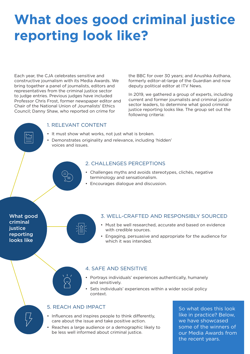# **What does good criminal justice reporting look like?**

Each year, the CJA celebrates sensitive and constructive journalism with its Media Awards. We bring together a panel of journalists, editors and representatives from the criminal justice sector to judge entries. Previous judges have included Professor Chris Frost, former newspaper editor and Chair of the National Union of Journalists' Ethics Council; Danny Shaw, who reported on crime for

the BBC for over 30 years; and Anushka Asthana, formerly editor-at-large of the Guardian and now deputy political editor at ITV News.

In 2019, we gathered a group of experts, including current and former journalists and criminal justice sector leaders, to determine what good criminal justice reporting looks like. The group set out the following criteria:

#### 1. RELEVANT CONTENT

- It must show what works, not just what is broken.
- Demonstrates originality and relevance, including 'hidden' voices and issues.

#### 2. CHALLENGES PERCEPTIONS

- Challenges myths and avoids stereotypes, clichés, negative terminology and sensationalism.
- Encourages dialogue and discussion.

What good criminal iustice reporting looks like



#### 3. WELL-CRAFTED AND RESPONSIBLY SOURCED

- Must be well researched, accurate and based on evidence with credible sources.
- Engaging, persuasive and appropriate for the audience for which it was intended.

#### 4. SAFE AND SENSITIVE

- Portrays individuals' experiences authentically, humanely and sensitively.
- Sets individuals' experiences within a wider social policy context.

#### 5. REACH AND IMPACT

- Influences and inspires people to think differently, care about the issue and take positive action.
- Reaches a large audience or a demographic likely to be less well informed about criminal justice.

So what does this look like in practice? Below, we have showcased some of the winners of our Media Awards from the recent years.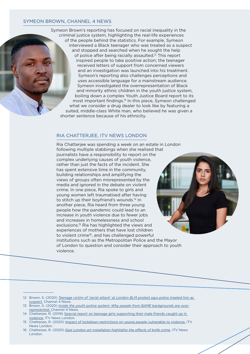#### SYMEON BROWN, CHANNEL 4 NEWS

Symeon Brown's reporting has focused on racial inequality in the criminal justice system, highlighting the real-life experiences of the people behind the statistics. For example, Symeon interviewed a Black teenager who was treated as a suspect and stopped and searched when he sought the help of police after being racially assaulted.12 This report inspired people to take positive action; the teenager received letters of support from concerned viewers and an investigation was launched into his treatment. Symeon's reporting also challenges perceptions and uses accessible language for a mainstream audience. Symeon investigated the overrepresentation of Black and minority ethnic children in the youth justice system, boiling down a complex Youth Justice Board report to its most important findings.13 In this piece, Symeon challenged what we consider a drug dealer to look like by featuring a suited, middle-class White man, who believed he was given a shorter sentence because of his ethnicity.

#### RIA CHATTERJEE, ITV NEWS LONDON

Ria Chatterjee was spending a week on an estate in London following multiple stabbings when she realised that journalists have a responsibility to report on the complex underlying causes of youth violence, rather than just the facts of the incident. She has spent extensive time in the community, building relationships and amplifying the views of groups often misrepresented by the media and ignored in the debate on violent crime. In one piece, Ria spoke to girls and young women left traumatised after having to stitch up their boyfriend's wounds.<sup>14</sup> In another piece, Ria heard from three young people how the pandemic could lead to an increase in youth violence due to fewer jobs and increases in homelessness and school exclusions.15 Ria has highlighted the views and experiences of mothers that have lost children to violent crime<sup>16</sup>, and has challenged powerful institutions such as the Metropolitan Police and the Mayor of London to question and consider their approach to youth violence.

- 12 Brown, S. (2020) *[Teenage victim of 'racist attack' at London BLM protest says police treated him as](https://www.channel4.com/news/teenage-victim-of-racist-attack-at-london-blm-protest-says-police-treated-him-as-suspect)  [suspect.](https://www.channel4.com/news/teenage-victim-of-racist-attack-at-london-blm-protest-says-police-treated-him-as-suspect)* Channel 4 News.
- 13 Brown, S. (2020) *[Inside the youth justice system: Why people from BAME backgrounds are over](https://www.channel4.com/news/inside-the-youth-justice-system-why-people-from-bame-backgrounds-are-over-represented)[represented.](https://www.channel4.com/news/inside-the-youth-justice-system-why-people-from-bame-backgrounds-are-over-represented)* Channel 4 News.
- 14 Chatterjee, R. (2019) [Special report on teenage girls supporting their male friends caught up in](https://twitter.com/itvlondon/status/1109183079678119937)  [violence](https://twitter.com/itvlondon/status/1109183079678119937)*.* ITV News London.
- 15 Chatterjee, R. (2020) [Impact of lockdown restrictions on young people vulnerable to violence.]( https://twitter.com/itvlondon/status/1283477579887005698) ITV News London.
- 16 Chatterjee, R. (2020) *[East London art installation highlights the effects of knife crime](https://twitter.com/itvlondon/status/1238215127788400640)*. ITV News London.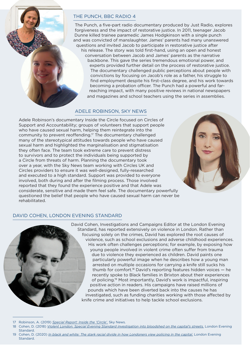#### THE PUNCH, BBC RADIO 4

The Punch, a five-part radio documentary produced by Just Radio, explores forgiveness and the impact of restorative justice. In 2011, teenager Jacob Dunne killed trainee paramedic James Hodgkinson with a single punch and was convicted of manslaughter. James' parents had many unanswered questions and invited Jacob to participate in restorative justice after his release. The story was told first-hand, using an open and honest conversation between Jacob and James' parents as the narrative backbone. This gave the series tremendous emotional power, and experts provided further detail on the process of restorative justice. The documentary challenged public perceptions about people with convictions by focusing on Jacob's role as a father, his struggle to find employment despite his first-class degree, and his work towards becoming a probation officer. The Punch had a powerful and farreaching impact, with many positive reviews in national newspapers and magazines and school teachers using the series in assemblies.

#### ADELE ROBINSON, SKY NEWS

Adele Robinson's documentary Inside the Circle focused on Circles of Support and Accountability; groups of volunteers that support people who have caused sexual harm, helping them reintegrate into the community to prevent reoffending.17 The documentary challenged many of the stereotypical attitudes towards people who have caused sexual harm and highlighted the marginalisation and stigmatisation they often face. The team took extreme care to prevent distress to survivors and to protect the individuals being supported by a Circle from threats of harm. Planning the documentary took over a year, with the Sky News team working with Circles UK and Circles providers to ensure it was well-designed, fully-researched and executed to a high standard. Support was provided to everyone involved, both during and after the filming process. Those involved reported that they found the experience positive and that Adele was considerate, sensitive and made them feel safe. The documentary powerfully questioned the belief that people who have caused sexual harm can never be rehabilitated.



#### DAVID COHEN, LONDON EVENING STANDARD



<sup>17</sup> Robinson, A. (2019) *[Special Report: Inside the 'Circle'.](https://www.youtube.com/watch?v=r8Hdcz_fXQk)* Sky News.

- 18 Cohen, D. (2018) *[Violent London: Special Evening Standard investigation into bloodshed on the capital's streets.](https://www.standard.co.uk/news/crime/violent-london-my-uncle-was-gunned-down-when-i-was-4-so-i-grew-up-the-little-big-man-a3889036.html)* London Evening **Standard.**
- 19 Cohen, D. (2020) *[In black and white: The stark racial divide in how Londoners view policing in the capital.](https://www.standard.co.uk/news/uk/policing-great-race-divide-brixton-investigation-a4509221.html)* London Evening Standard.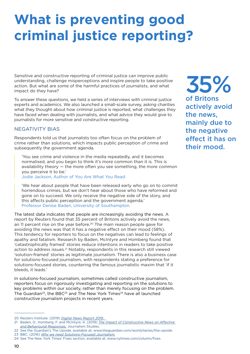# **What is preventing good criminal justice reporting?**

Sensitive and constructive reporting of criminal justice can improve public understanding, challenge misperceptions and inspire people to take positive action. But what are some of the harmful practices of journalists, and what impact do they have?

To answer these questions, we held a series of interviews with criminal justice experts and academics. We also launched a small-scale survey, asking charities what they thought about how criminal justice is reported, what challenges they have faced when dealing with journalists, and what advice they would give to journalists for more sensitive and constructive reporting.

#### NEGATIVITY BIAS

Respondents told us that journalists too often focus on the problem of crime rather than solutions, which impacts public perception of crime and subsequently the government agenda.

'You see crime and violence in the media repeatedly, and it becomes normalised, and you begin to think it's more common than it is. This is availability theory — the more often you see something, the more common you perceive it to be.'

Jodie Jackson, Author of You Are What You Read.

'We hear about people that have been released early who go on to commit horrendous crimes, but we don't hear about those who have reformed and gone on to succeed. We only receive the negative side of the story, and this affects public perception and the government agenda.' Professor Denise Baden, University of Southampton.

The latest data indicates that people are increasingly avoiding the news. A report by Reuters found that 35 percent of Britons actively avoid the news, an 11 percent rise on the year before.<sup>20</sup> The main reason people gave for avoiding the news was that it has a negative effect on their mood (58%). This tendency for reporters to focus on the negatives can lead to feelings of apathy and fatalism. Research by Baden, McIntyre and Homberg found that 'catastrophically framed' stories reduce intentions in readers to take positive action to address issues.<sup>21</sup> Notably, respondents in this research still viewed 'solution-framed' stories as legitimate journalism. There is also a business case for solutions-focused journalism, with respondents stating a preference for solutions-focused stories, countering the famous journalistic maxim that 'if it bleeds, it leads.'

In solutions-focused journalism, sometimes called constructive journalism, reporters focus on rigorously investigating and reporting on the solutions to key problems within our society, rather than merely focusing on the problem. The Guardian<sup>22</sup>, the BBC<sup>23</sup> and The New York Times<sup>24</sup> have all launched constructive journalism projects in recent years.

- 23 BBC. (2016) *[Why we need Solutions-Focused Journalism.](https://www.bbc.co.uk/blogs/academy/entries/be8991c7-c1c7-42e6-a371-f40278838fa2)*
- 24 See The New York Times' Fixes section, available at: www.nytimes.com/column/fixes.

35% of Britons actively avoid the news, mainly due to the negative effect it has on their mood.

<sup>20</sup> Reuters Institute. (2019) *[Digital News Report 2019.](https://www.digitalnewsreport.org/survey/2019/)* 

<sup>21</sup> Baden, D., Homberg, F. and McIntyre, K. (2019) *[The Impact of Constructive News on Affective](https://www.tandfonline.com/doi/pdf/10.1080/1461670X.2018.1545599?casa_token=8a6P_6zf3bwAAAAA%3Avm3CO_CI_H7NcZts_PXKbbNQilxYi7CECJ4I12pCSs8ulDkKUswV26q2spL3mWTbCGC4VMYhIB0&)  [and Behavioural Responses.](https://www.tandfonline.com/doi/pdf/10.1080/1461670X.2018.1545599?casa_token=8a6P_6zf3bwAAAAA%3Avm3CO_CI_H7NcZts_PXKbbNQilxYi7CECJ4I12pCSs8ulDkKUswV26q2spL3mWTbCGC4VMYhIB0&)* Journalism Studies.

<sup>22</sup> See the Guardian's The Upside, available at: www.theguardian.com/world/series/the-upside.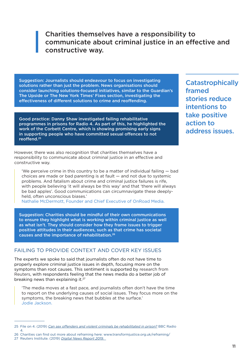### Charities themselves have a responsibility to communicate about criminal justice in an effective and constructive way.

Suggestion: Journalists should endeavour to focus on investigating solutions rather than just the problem. News organisations should consider launching solutions-focused initiatives, similar to the Guardian's The Upside or The New York Times' Fixes section, investigating the effectiveness of different solutions to crime and reoffending.

Good practice: Danny Shaw investigated failing rehabilitative programmes in prisons for Radio 4. As part of this, he highlighted the work of the Corbett Centre, which is showing promising early signs in supporting people who have committed sexual offences to not reoffend.25

However, there was also recognition that charities themselves have a responsibility to communicate about criminal justice in an effective and constructive way.

'We perceive crime in this country to be a matter of individual failing — bad choices are made or bad parenting is at fault — and not due to systemic problems. And fatalism about crime and criminal justice failures is rife, with people believing 'it will always be this way' and that 'there will always be bad apples'. Good communications can circumnavigate these deeplyheld, often unconscious biases.'

Nathalie McDermott, Founder and Chief Executive of OnRoad Media.

Suggestion: Charities should be mindful of their own communications to ensure they highlight what is working within criminal justice as well as what isn't. They should consider how they frame issues to trigger positive attitudes in their audiences, such as that crime has societal causes and the importance of rehabilitation.26

#### FAILING TO PROVIDE CONTEXT AND COVER KEY ISSUES

The experts we spoke to said that journalists often do not have time to properly explore criminal justice issues in depth, focusing more on the symptoms than root causes. This sentiment is supported by research from Reuters, with respondents feeling that the news media do a better job of breaking news than explaining it.<sup>27</sup>

'The media moves at a fast pace, and journalists often don't have the time to report on the underlying causes of social issues. They focus more on the symptoms, the breaking news that bubbles at the surface.' Jodie Jackson.

**Catastrophically** framed stories reduce intentions to take positive action to address issues.

<sup>25</sup> File on 4. (2019) *[Can sex offenders and violent criminals be rehabilitated in prison?](https://www.bbc.co.uk/sounds/play/m000937z)* BBC Radio 4.

<sup>26</sup> Charities can find out more about reframing here: [www.transformjustice.org.uk/reframing/](https://www.transformjustice.org.uk/reframing/) 27 Reuters Institute. (2019) *[Digital News Report 2019.](https://www.digitalnewsreport.org/survey/2019/)*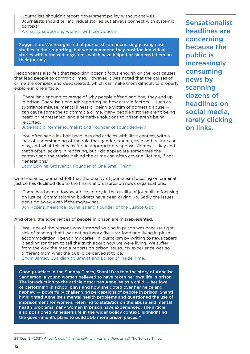'Journalists shouldn't report government policy without analysis. Journalists should tell individual stories but always connect with systemic context.'

A charity supporting women with convictions.

Suggestion: We recognise that journalists are increasingly using case studies in their reporting, but we recommend they position individuals' stories within the wider systems which have helped or hindered them on their journey.

Respondents also felt that reporting doesn't focus enough on the root causes that lead people to commit crimes. However, it was noted that the causes of crime are complex and deep-seated, which can make them difficult to properly explore in one article.

'There isn't enough coverage of why people offend and how they end up in prison. There isn't enough reporting on how certain factors — such as substance misuse, mental illness or being a victim of domestic abuse can cause someone to commit a crime. Many people's stories aren't being heard or represented, and alternative solutions to prison aren't being reported.'

Jude Habib, former journalist and Founder of sounddelivery.

'You often see click bait headlines and articles with little context, with a lack of understanding of the role that gender, trauma, race and culture can play, and what this means for an appropriate response. Context is key and that's often lacking in reporting, but I do appreciate sometimes the context and the stories behind the crime can often cover a lifetime, if not generations.'

Lady Edwina Grosvenor, Founder of One Small Thing.

One freelance journalist felt that the quality of journalism focusing on criminal justice has declined due to the financial pressures on news organisations.

'There has been a downward trajectory in the quality of journalism focusing on justice. Commissioning budgets have been drying up. Sadly the issues don't go away, even if the money has.' Jon Robins, freelance journalist and Founder of the Justice Gap.

And often, the experiences of people in prison are misrepresented.

'Well one of the reasons why I started writing in prison was because I got sick of reading that I was eating luxury five-star food and living in plush accommodation. I began my career in journalism by writing to newspapers pleading for them to tell the truth about how we were living. We suffer from the way the media reports on prison issues. My experience was so different from what the public perceived it to be.'

Erwin James, Guardian columnist and Editor of Inside Time.

Good practice: In the Sunday Times, Shanti Das told the story of Annelise Sanderson, a young woman believed to have taken her own life in prison. The introduction to the article describes Annelise as a child — her love of performing in school plays and how she doted over her neice and nephew — powerfully challenging perceptions of people in prison. Shanti highlighted Annelise's mental health problems and questioned the use of imprisonment for women, referring to statistics on the abuse and mental health problems many women in prison have experienced. The article also positioned Annelise's life in the wider policy context, highlighting the government's plans to build 500 more prison places.<sup>28</sup>

Sensationalist headlines are concerning because the public is increasingly consuming news by scanning dozens of headlines on social media, rarely clicking on links.

<sup>28</sup> Das, S. (2021) *[A teen's death in a jail cell: why was she there at all?](https://www.thetimes.co.uk/article/a-teen-dies-behind-bars-why-was-she-there-in-the-first-place-lbb77jkr7)* The Sunday Times.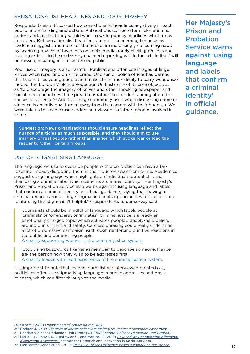#### SENSATIONALIST HEADLINES AND POOR IMAGERY

Respondents also discussed how sensationalist headlines negatively impact public understanding and debate. Publications compete for clicks, and it is understandable that they would want to write punchy headlines which draw in readers. But sensationalist headlines are most concerning because, as evidence suggests, members of the public are increasingly consuming news by scanning dozens of headlines on social media, rarely clicking on links and reading articles to the end.<sup>29</sup> Any nuanced reporting within the article itself will be missed, resulting in a misinformed public.

Poor use of imagery is also harmful. Publications often use images of large knives when reporting on knife crime. One senior police officer has warned this traumatises young people and makes them more likely to carry weapons.<sup>30</sup> Indeed, the London Violence Reduction Unit lists one of its core objectives as 'to discourage the imagery of knives and other shocking newspaper and social media headlines that spread fear rather than understanding about the causes of violence.'31 Another image commonly used when discussing crime or violence is an individual turned away from the camera with their hood up. We were told us this can cause readers and viewers to 'other' people involved in crime.

Suggestion: News organisations should ensure headlines reflect the nuance of articles as much as possible, and they should aim to use imagery of real people rather than images which evoke fear or lead the reader to 'other' certain groups.

#### USE OF STIGMATISING LANGUAGE

The language we use to describe people with a conviction can have a farreaching impact, disrupting them in their journey away from crime. Academics suggest using language which highlights an individual's potential, rather than using a criminal label which cements a criminal identity.<sup>32</sup> Her Majesty's Prison and Probation Service also warns against 'using language and labels that confirm a criminal identity' in official guidance, saying that 'having a criminal record carries a huge stigma and limits opportunities for success and reinforcing this stigma isn't helpful.<sup>'33</sup> Respondents to our survey said:

'Journalists should be mindful of language which labels people as 'criminals' or 'offenders', or 'inmates'. Criminal justice is already an emotionally charged topic which activates people's deeply-held beliefs around punishment and safety. Careless phrasing could really undermine a lot of progressive campaigning through reinforcing punitive reactions in the public and demonising people.'

A charity supporting women in the criminal justice system.

'Stop using buzzwords like 'gang member' to describe someone. Maybe ask the person how they wish to be addressed first.' A charity leader with lived experience of the criminal justice system.

It is important to note that, as one journalist we interviewed pointed out, politicians often use stigmatising language in public addresses and press releases, which can filter through to the media.

*[discovering desistance.](http://eprints.gla.ac.uk/79860/1/79860.pdf)* Institute for Research and Innovation in Social Services.

33 Magistrates Association. (2019) *[HMPPS publishes evidence-based summary on desistance.](https://www.magistrates-association.org.uk/News-and-Comments/hmpps-publishes-evidence-based-summary-on-desistance)*

Her Majesty's Prison and Probation Service warns against 'using language and labels that confirm a criminal identity' in official guidance.

<sup>29</sup> Ofcom. (2019) *[Ofcom's annual report on the BBC.](https://www.ofcom.org.uk/__data/assets/pdf_file/0026/173735/second-bbc-annual-report.pdf)* 

<sup>30</sup> Rodger, J. (2019) *[Pictures of knives online 'are making traumatised teenagers carry them'.](https://www.birminghammail.co.uk/news/midlands-news/pictures-knives-online-are-making-16987401)* 

<sup>31</sup> London Violence Reduction Unit Strategy. (2019) *[London Violence Reduction Unit Strategy.](https://www.london.gov.uk/moderngovmb/documents/s64359/Appendix%201%20-%20VRU%20Strategy.pdf)*

<sup>32</sup> McNeill, F., Farrall, S., Lightowler, C., and Maruna, S. (2012) *[How and why people stop offending:](http://eprints.gla.ac.uk/79860/1/79860.pdf)*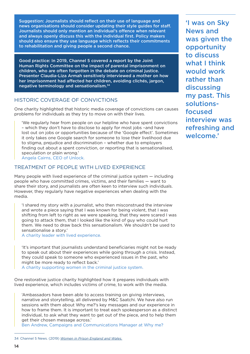Suggestion: Journalists should reflect on their use of language and news organisations should consider updating their style guides for staff. Journalists should only mention an individual's offence when relevant and always openly discuss this with the individual first. Policy makers should also ensure they use language which reflects their commitments to rehabilitation and giving people a second chance.

Good practice: In 2019, Channel 5 covered a report by the Joint Human Rights Committee on the impact of parental imprisonment on children, who are often forgotten in the debate on criminal justice. Presenter Claudia-Liza Armah sensitively interviewed a mother on how her imprisonment had affected her children, avoiding clichés, jargon, negative terminology and sensationalism.34

#### HISTORIC COVERAGE OF CONVICTIONS

One charity highlighted that historic media coverage of convictions can causes problems for individuals as they try to move on with their lives.

'We regularly hear from people on our helpline who have spent convictions – which they don't have to disclose to apply for most jobs –and have lost out on jobs or opportunities because of the 'Google effect'. Sometimes it only takes one Google search for someone to lose their livelihood due to stigma, prejudice and discrimination – whether due to employers finding out about a spent conviction, or reporting that is sensationalised, speculation or plain wrong.' Angela Cairns, CEO of Unlock.

#### TREATMENT OF PEOPLE WITH LIVED EXPERIENCE

Many people with lived experience of the criminal justice system — including people who have committed crimes, victims, and their families — want to share their story, and journalists are often keen to interview such individuals. However, they regularly have negative experiences when dealing with the media.

'I shared my story with a journalist, who then misconstrued the interview and wrote a piece saying that I was known for being violent, that I was shifting from left to right as we were speaking, that they were scared I was going to attack them, that I looked like the kind of guy who could hurt them. We need to draw back this sensationalism. We shouldn't be used to sensationalise a story.'

A charity leader with lived experience.

'It's important that journalists understand beneficiaries might not be ready to speak out about their experiences while going through a crisis. Instead, they could speak to someone who experienced issues in the past, who might be more ready to reflect back.'

A charity supporting women in the criminal justice system.

One restorative justice charity highlighted how it prepares individuals with lived experience, which includes victims of crime, to work with the media.

'Ambassadors have been able to access training on giving interviews, narrative and storytelling, all delivered by M&C Saatchi. We have also run sessions with them about Why me?'s key messages and our experience in how to frame them. It is important to treat each spokesperson as a distinct individual, to ask what they want to get out of the piece, and to help them get their chosen message across.'

Ben Andrew, Campaigns and Communications Manager at Why me?

'I was on Sky News and was given the opportunity to discuss what I think would work rather than discussing my past. This solutionsfocused interview was refreshing and welcome.'

<sup>34</sup> Channel 5 News. (2019) *[Women in Prison England and Wales.](https://twitter.com/5_News/status/1171117704863838208)*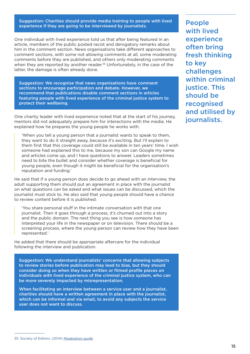#### Suggestion: Charities should provide media training to people with lived experience if they are going to be interviewed by journalists.

One individual with lived experience told us that after being featured in an article, members of the public posted racist and derogatory remarks about him in the comment section. News organisations take different approaches to comment sections, with some not allowing comments at all, some moderating comments before they are published, and others only moderating comments when they are reported by another reader.<sup>35</sup> Unfortunately, in the case of the latter, the damage is often already done.

Suggestion: We recognise that news organisations have comment sections to encourage participation and debate. However, we recommend that publications disable comment sections in articles featuring people with lived experience of the criminal justice system to protect their wellbeing.

One charity leader with lived experience noted that at the start of his journey, mentors did not adequately prepare him for interactions with the media. He explained how he prepares the young people he works with:

'When you tell a young person that a journalist wants to speak to them, they want to do it straight away, because it's exciting. But I'll explain to them first that this coverage could still be available in ten years' time. I wish someone had explained this to me, because my son can Google my name and articles come up, and I have questions to answer. Leaders sometimes need to bite the bullet and consider whether coverage is beneficial for young people, even though it might be beneficial for the organisation's reputation and funding.'

He said that if a young person does decide to go ahead with an interview, the adult supporting them should put an agreement in place with the journalist on what questions can be asked and what issues can be discussed, which the journalist must stick to. He also said that young people should have a chance to review content before it is published:

'You share personal stuff in the intimate conversation with that one journalist. Then it goes through a process, it's churned out into a story and the public domain. The next thing you see is how someone has interpreted your life in the newspaper or on television. There should be a screening process, where the young person can review how they have been represented.'

He added that there should be appropriate aftercare for the individual following the interview and publication.

Suggestion: We understand journalists' concerns that allowing subjects to review stories before publication may lead to bias, but they should consider doing so when they have written or filmed profile pieces on individuals with lived experience of the criminal justice system, who can be more severely impacted by misrepresentation.

When facilitating an interview between a service user and a journalist, charities should have a written agreement in place with the journalist, which can be informal and via email, to avoid any subjects the service user does not want to discuss.

People with lived experience often bring fresh thinking to key challenges within criminal justice. This should be recognised and utilised by journalists.

<sup>35</sup> Society of Editors. (2014) *[Moderation guide](https://www.societyofeditors.org/wp-content/uploads/2018/10/SOE-Moderation-Guide.pdf)*.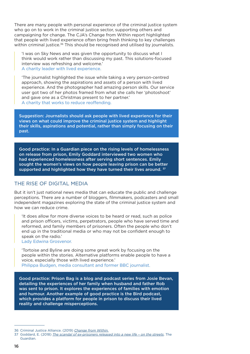There are many people with personal experience of the criminal justice system who go on to work in the criminal justice sector, supporting others and campaigning for change. The CJA's Change from Within report highlighted that people with lived experience often bring fresh thinking to key challenges within criminal justice.<sup>36</sup> This should be recognised and utilised by journalists.

'I was on Sky News and was given the opportunity to discuss what I think would work rather than discussing my past. This solutions-focused interview was refreshing and welcome.' A charity leader with lived experience.

'The journalist highlighted the issue while taking a very person-centred approach, showing the aspirations and assets of a person with lived experience. And the photographer had amazing person skills. Our service user got two of her photos framed from what she calls her 'photoshoot' and gave one as a Christmas present to her partner.' A charity that works to reduce reoffending.

Suggestion: Journalists should ask people with lived experience for their views on what could improve the criminal justice system and highlight their skills, aspirations and potential, rather than simply focusing on their past.

Good practice: In a Guardian piece on the rising levels of homelessness on release from prison, Emily Goddard interviewed two women who had experienced homelessness after serving short sentences. Emily sought the women's views on how people leaving prison can be better supported and highlighted how they have turned their lives around.  $37$ 

#### THE RISE OF DIGITAL MEDIA

But it isn't just national news media that can educate the public and challenge perceptions. There are a number of bloggers, filmmakers, podcasters and small independent magazines exploring the state of the criminal justice system and how we can reduce crime.

'It does allow for more diverse voices to be heard or read, such as police and prison officers, victims, perpetrators, people who have served time and reformed, and family members of prisoners. Often the people who don't end up in the traditional media or who may not be confident enough to speak on the radio.'

Lady Edwina Grosvenor.

'Tortoise and Byline are doing some great work by focusing on the people within the stories. Alternative platforms enable people to have a voice, especially those with lived experience.' Philippa Budgen, media consultant and former BBC journalist.

Good practice: Prison Bag is a blog and podcast series from Josie Bevan, detailing the experiences of her family when husband and father Rob was sent to prison. It explores the experiences of families with emotion and humour. Another example of good practice is the Bird podcast, which provides a platform for people in prison to discuss their lived reality and challenge misperceptions.

<sup>36</sup> Criminal Justice Alliance. (2019) *[Change from Within.](https://www.criminaljusticealliance.org/wp-content/uploads/Change-From-Within-FINAL-online.pdf)*

<sup>37</sup> Goddard, E. (2018) *[The scandal of ex-prisoners released into a new life – on the streets](https://www.theguardian.com/society/2018/nov/28/ex-prisoners-streets-rough-sleeping-short-sentences)*. The Guardian.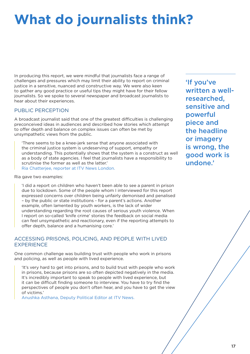# **What do journalists think?**

In producing this report, we were mindful that journalists face a range of challenges and pressures which may limit their ability to report on criminal justice in a sensitive, nuanced and constructive way. We were also keen to gather any good practice or useful tips they might have for their fellow journalists. So we spoke to several newspaper and broadcast journalists to hear about their experiences.

#### PUBLIC PERCEPTION

A broadcast journalist said that one of the greatest difficulties is challenging preconceived ideas in audiences and described how stories which attempt to offer depth and balance on complex issues can often be met by unsympathetic views from the public.

'There seems to be a knee-jerk sense that anyone associated with the criminal justice system is undeserving of support, empathy or understanding. This potentially shows that the system is a construct as well as a body of state agencies. I feel that journalists have a responsibility to scrutinise the former as well as the latter.' Ria Chatterjee, reporter at ITV News London.

Ria gave two examples:

'I did a report on children who haven't been able to see a parent in prison due to lockdown. Some of the people whom I interviewed for this report expressed concerns over children being unfairly demonised and penalised – by the public or state institutions - for a parent's actions. Another example, often lamented by youth workers, is the lack of wider understanding regarding the root causes of serious youth violence. When I report on so-called 'knife crime' stories the feedback on social media can feel unsympathetic and reactionary, even if the reporting attempts to offer depth, balance and a humanising core.'

#### ACCESSING PRISONS, POLICING, AND PEOPLE WITH LIVED EXPERIENCE

One common challenge was building trust with people who work in prisons and policing, as well as people with lived experience.

'It's very hard to get into prisons, and to build trust with people who work in prisons, because prisons are so often depicted negatively in the media. It's incredibly important to speak to people with lived experience, but it can be difficult finding someone to interview. You have to try find the perspectives of people you don't often hear, and you have to get the view of victims.'

Anushka Asthana, Deputy Political Editor at ITV News.

'If you've written a wellresearched, sensitive and powerful piece and the headline or imagery is wrong, the good work is undone.'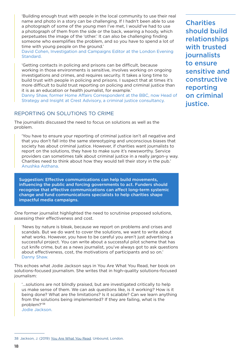'Building enough trust with people in the local community to use their real name and photo in a story can be challenging. If I hadn't been able to use a photograph of some of the young men I've met, I would've had to use a photograph of them from the side or the back, wearing a hoody, which perpetuates the image of the 'other.' It can also be challenging finding someone who exemplifies the problem, and so you have to spend a lot of time with young people on the ground.'

David Cohen, Investigation and Campaigns Editor at the London Evening Standard.

'Getting contacts in policing and prisons can be difficult, because working in those environments is sensitive, involves working on ongoing investigations and crimes, and requires security. It takes a long time to build trust with people in policing and prisons. I suspect that at times it's more difficult to build trust reporting on policing and criminal justice than it is as an education or health journalist, for example.'

Danny Shaw, former Home Affairs Correspondent at the BBC, now Head of Strategy and Insight at Crest Advisory, a criminal justice consultancy.

#### REPORTING ON SOLUTIONS TO CRIME

The journalists discussed the need to focus on solutions as well as the problem.

'You have to ensure your reporting of criminal justice isn't all negative and that you don't fall into the same stereotyping and unconscious biases that society has about criminal justice. However, if charities want journalists to report on the solutions, they have to make sure it's newsworthy. Service providers can sometimes talk about criminal justice in a really jargon-y way. Charities need to think about how they would tell their story in the pub.' Anushka Asthana.

Suggestion: Effective communications can help build movements, influencing the public and forcing governments to act. Funders should recognise that effective communications can affect long-term systemic change and fund communications specialists to help charities shape impactful media campaigns.

One former journalist highlighted the need to scrutinise proposed solutions, assessing their effectiveness and cost.

'News by nature is bleak, because we report on problems and crises and scandals. But we do want to cover the solutions, we want to write about what works. However, you have to be careful you aren't just advertising a successful project. You can write about a successful pilot scheme that has cut knife crime, but as a news journalist, you've always got to ask questions about effectiveness, cost, the motivations of participants and so on.' Danny Shaw.

This echoes what Jodie Jackson says in You Are What You Read, her book on solutions-focused journalism. She writes that in high-quality solutions-focused journalism:

'...solutions are not blindly praised, but are investigated critically to help us make sense of them. We can ask questions like, is it working? How is it being done? What are the limitations? Is it scalable? Can we learn anything from the solutions being implemented? If they are failing, what is the problem?'38

Jodie Jackson.

**Charities** should build relationships with trusted journalists to ensure sensitive and constructive reporting on criminal justice.

<sup>38</sup> Jackson, J. (2019) You Are What You Read. Unbound, London.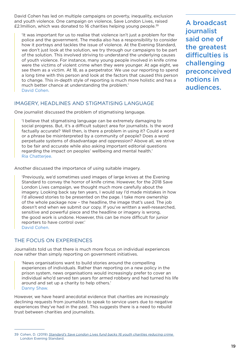David Cohen has led on multiple campaigns on poverty, inequality, exclusion and youth violence. One campaign on violence, Save London Lives, raised £2.1million, which was donated to 16 charities helping young people.39

'It was important for us to realise that violence isn't just a problem for the police and the government. The media also has a responsibility to consider how it portrays and tackles the issue of violence. At the Evening Standard, we don't just look at the solution, we try through our campaigns to be part of the solution. This involved striving to understand the underlying causes of youth violence. For instance, many young people involved in knife crime were the victims of violent crime when they were younger. At age eight, we see them as a victim. At 18, as a perpetrator. We use our reporting to spend a long time with this person and look at the factors that caused this person to change. This in-depth style of reporting is much more holistic and has a much better chance at understanding the problem.' David Cohen.

#### IMAGERY, HEADLINES AND STIGMATISING LANGUAGE

One journalist discussed the problem of stigmatising language.

'I believe that stigmatising language can be extremely damaging to social progress. But, it's a difficult subject area for journalists. Is the word factually accurate? Well then, is there a problem in using it? Could a word or a phrase be misinterpreted by a community of people? Does a word perpetuate systems of disadvantage and oppression? Above all, we strive to be fair and accurate while also asking important editorial questions regarding the impact on peoples' wellbeing and mental health.' Ria Chatterjee.

Another discussed the importance of using suitable imagery.

'Previously, we'd sometimes used images of large knives at the Evening Standard to convey the horror of knife crime. However, for the 2018 Save London Lives campaign, we thought much more carefully about the imagery. Looking back say ten years, I would say I'd made mistakes in how I'd allowed stories to be presented on the page. I take more ownership of the whole package now – the headline, the image that's used. The job doesn't end when we submit our copy. If you've written a well-researched, sensitive and powerful piece and the headline or imagery is wrong, the good work is undone. However, this can be more difficult for junior reporters to have control over.' David Cohen.

#### THE FOCUS ON EXPERIENCES

Journalists told us that there is much more focus on individual experiences now rather than simply reporting on government initiatives.

'News organisations want to build stories around the compelling experiences of individuals. Rather than reporting on a new policy in the prison system, news organisations would increasingly prefer to cover an individual who'd served ten years for armed robbery and had turned his life around and set up a charity to help others.' Danny Shaw.

However, we have heard anecdotal evidence that charities are increasingly declining requests from journalists to speak to service users due to negative experiences they've had in the past. This suggests there is a need to rebuild trust between charities and journalists.

A broadcast journalist said one of the greatest difficulties is challenging preconceived notions in audiences.

<sup>39</sup> Cohen, D. (2019) *[Standard's Save London Lives fund backs 16 youth charities reducing crime](https://www.standard.co.uk/news/london/standard-s-save-london-lives-fund-backs-16-youth-charities-reducing-crime-a4198861.html)* London Evening Standard.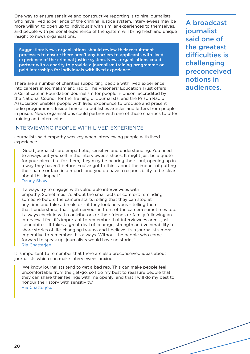One way to ensure sensitive and constructive reporting is to hire journalists who have lived experience of the criminal justice system. Interviewees may be more willing to open up to individuals with similar experiences to themselves, and people with personal experience of the system will bring fresh and unique insight to news organisations.

Suggestion: News organisations should review their recruitment processes to ensure there aren't any barriers to applicants with lived experience of the criminal justice system. News organisations could partner with a charity to provide a journalism training programme or paid internships for individuals with lived experience.

There are a number of charities supporting people with lived experience into careers in journalism and radio. The Prisoners' Education Trust offers a Certificate in Foundation Journalism for people in prison, accredited by the National Council for the Training of Journalists, and the Prison Radio Association enables people with lived experience to produce and present radio programmes. Inside Time also publishes articles and letters from people in prison. News organisations could partner with one of these charities to offer training and internships.

#### INTERVIEWING PEOPLE WITH LIVED EXPERIENCE

Journalists said empathy was key when interviewing people with lived experience.

'Good journalists are empathetic, sensitive and understanding. You need to always put yourself in the interviewee's shoes. It might just be a quote for your piece, but for them, they may be bearing their soul, opening up in a way they haven't before. You've got to think about the impact of putting their name or face in a report, and you do have a responsibility to be clear about this impact.' Danny Shaw.

'I always try to engage with vulnerable interviewees with empathy. Sometimes it's about the small acts of comfort: reminding someone before the camera starts rolling that they can stop at any time and take a break, or – if they look nervous – telling them that I understand, that I get nervous in front of the camera sometimes too. I always check in with contributors or their friends or family following an interview. I feel it's important to remember that interviewees aren't just 'soundbites.' It takes a great deal of courage, strength and vulnerability to share stories of life-changing trauma and I believe it's a journalist's moral imperative to remember this always. Without the people who come forward to speak up, journalists would have no stories.' Ria Chatterjee.

It is important to remember that there are also preconceived ideas about journalists which can make interviewees anxious.

'We know journalists tend to get a bad rep. This can make people feel uncomfortable from the get-go, so I do my best to reassure people that they can share their feelings with me openly; and that I will do my best to honour their story with sensitivity.' Ria Chatterjee.

A broadcast journalist said one of the greatest difficulties is challenging preconceived notions in audiences.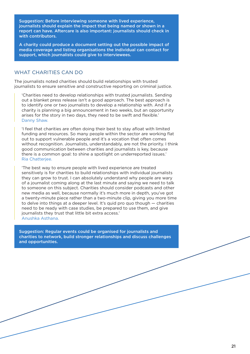Suggestion: Before interviewing someone with lived experience, journalists should explain the impact that being named or shown in a report can have. Aftercare is also important: journalists should check in with contributors.

A charity could produce a document setting out the possible impact of media coverage and listing organisations the individual can contact for support, which journalists could give to interviewees.

#### WHAT CHARITIES CAN DO

The journalists noted charities should build relationships with trusted journalists to ensure sensitive and constructive reporting on criminal justice.

'Charities need to develop relationships with trusted journalists. Sending out a blanket press release isn't a good approach. The best approach is to identify one or two journalists to develop a relationship with. And if a charity is planning a big announcement in two weeks, but an opportunity arises for the story in two days, they need to be swift and flexible.' Danny Shaw.

'I feel that charities are often doing their best to stay afloat with limited funding and resources. So many people within the sector are working flat out to support vulnerable people and it's a vocation that often comes without recognition. Journalists, understandably, are not the priority. I think good communication between charities and journalists is key, because there is a common goal: to shine a spotlight on underreported issues.' Ria Chatterjee.

'The best way to ensure people with lived experience are treated sensitively is for charities to build relationships with individual journalists they can grow to trust. I can absolutely understand why people are wary of a journalist coming along at the last minute and saying we need to talk to someone on this subject. Charities should consider podcasts and other new media as well, because normally it's much more in depth, you've got a twenty-minute piece rather than a two-minute clip, giving you more time to delve into things at a deeper level. It's quid pro quo though — charities need to be ready with case studies, be prepared to use them, and give journalists they trust that little bit extra access.' Anushka Asthana.

Suggestion: Regular events could be organised for journalists and charities to network, build stronger relationships and discuss challenges and opportunities.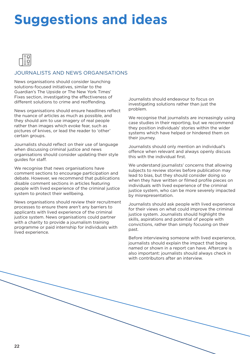### **Suggestions and ideas**



#### JOURNALISTS AND NEWS ORGANISATIONS

News organisations should consider launching solutions-focused initiatives, similar to the Guardian's The Upside or The New York Times' Fixes section, investigating the effectiveness of different solutions to crime and reoffending.

News organisations should ensure headlines reflect the nuance of articles as much as possible, and they should aim to use imagery of real people rather than images which evoke fear, such as pictures of knives, or lead the reader to 'other' certain groups.

Journalists should reflect on their use of language when discussing criminal justice and news organisations should consider updating their style guides for staff.

We recognise that news organisations have comment sections to encourage participation and debate. However, we recommend that publications disable comment sections in articles featuring people with lived experience of the criminal justice system to protect their wellbeing.

News organisations should review their recruitment processes to ensure there aren't any barriers to applicants with lived experience of the criminal justice system. News organisations could partner with a charity to provide a journalism training programme or paid internship for individuals with lived experience.

Journalists should endeavour to focus on investigating solutions rather than just the problem.

We recognise that journalists are increasingly using case studies in their reporting, but we recommend they position individuals' stories within the wider systems which have helped or hindered them on their journey.

Journalists should only mention an individual's offence when relevant and always openly discuss this with the individual first.

We understand journalists' concerns that allowing subjects to review stories before publication may lead to bias, but they should consider doing so when they have written or filmed profile pieces on individuals with lived experience of the criminal justice system, who can be more severely impacted by misrepresentation.

Journalists should ask people with lived experience for their views on what could improve the criminal justice system. Journalists should highlight the skills, aspirations and potential of people with convictions, rather than simply focusing on their past.

Before interviewing someone with lived experience, journalists should explain the impact that being named or shown in a report can have. Aftercare is also important: journalists should always check in with contributors after an interview.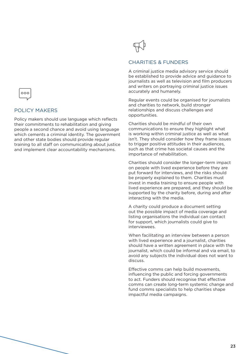

#### POLICY MAKERS

Policy makers should use language which reflects their commitments to rehabilitation and giving people a second chance and avoid using language which cements a criminal identity. The government and other state bodies should provide regular training to all staff on communicating about justice and implement clear accountability mechanisms.



#### CHARITIES & FUNDERS

A criminal justice media advisory service should be established to provide advice and guidance to journalists as well as television and film producers and writers on portraying criminal justice issues accurately and humanely.

Regular events could be organised for journalists and charities to network, build stronger relationships and discuss challenges and opportunities.

Charities should be mindful of their own communications to ensure they highlight what is working within criminal justice as well as what isn't. They should consider how they frame issues to trigger positive attitudes in their audiences, such as that crime has societal causes and the importance of rehabilitation.

Charities should consider the longer-term impact on people with lived experience before they are put forward for interviews, and the risks should be properly explained to them. Charities must invest in media training to ensure people with lived experience are prepared, and they should be supported by the charity before, during and after interacting with the media.

A charity could produce a document setting out the possible impact of media coverage and listing organisations the individual can contact for support, which journalists could give to interviewees.

When facilitating an interview between a person with lived experience and a journalist, charities should have a written agreement in place with the journalist, which could be informal and via email, to avoid any subjects the individual does not want to discuss.

Effective comms can help build movements, influencing the public and forcing governments to act. Funders should recognise that effective comms can create long-term systemic change and fund comms specialists to help charities shape impactful media campaigns.